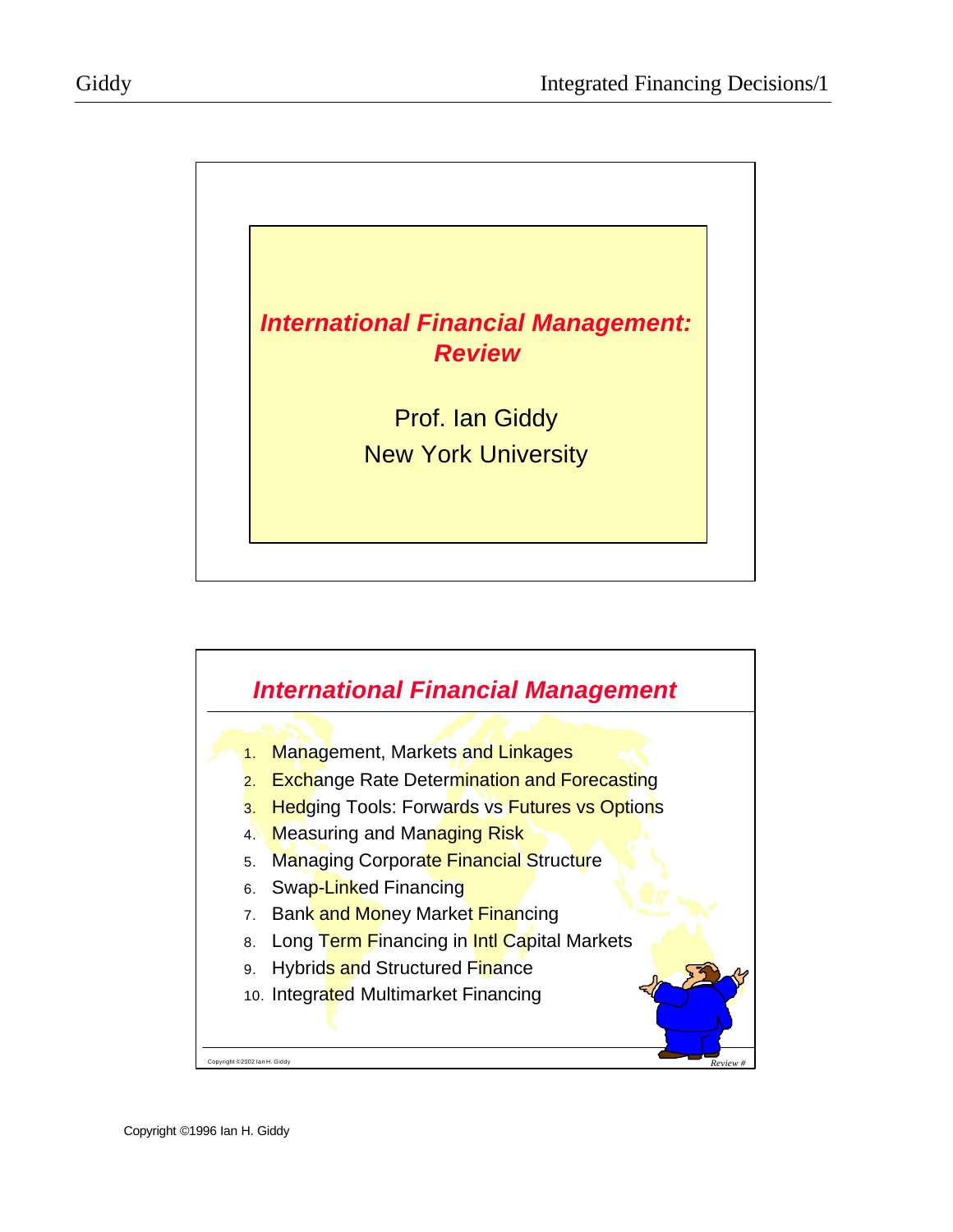

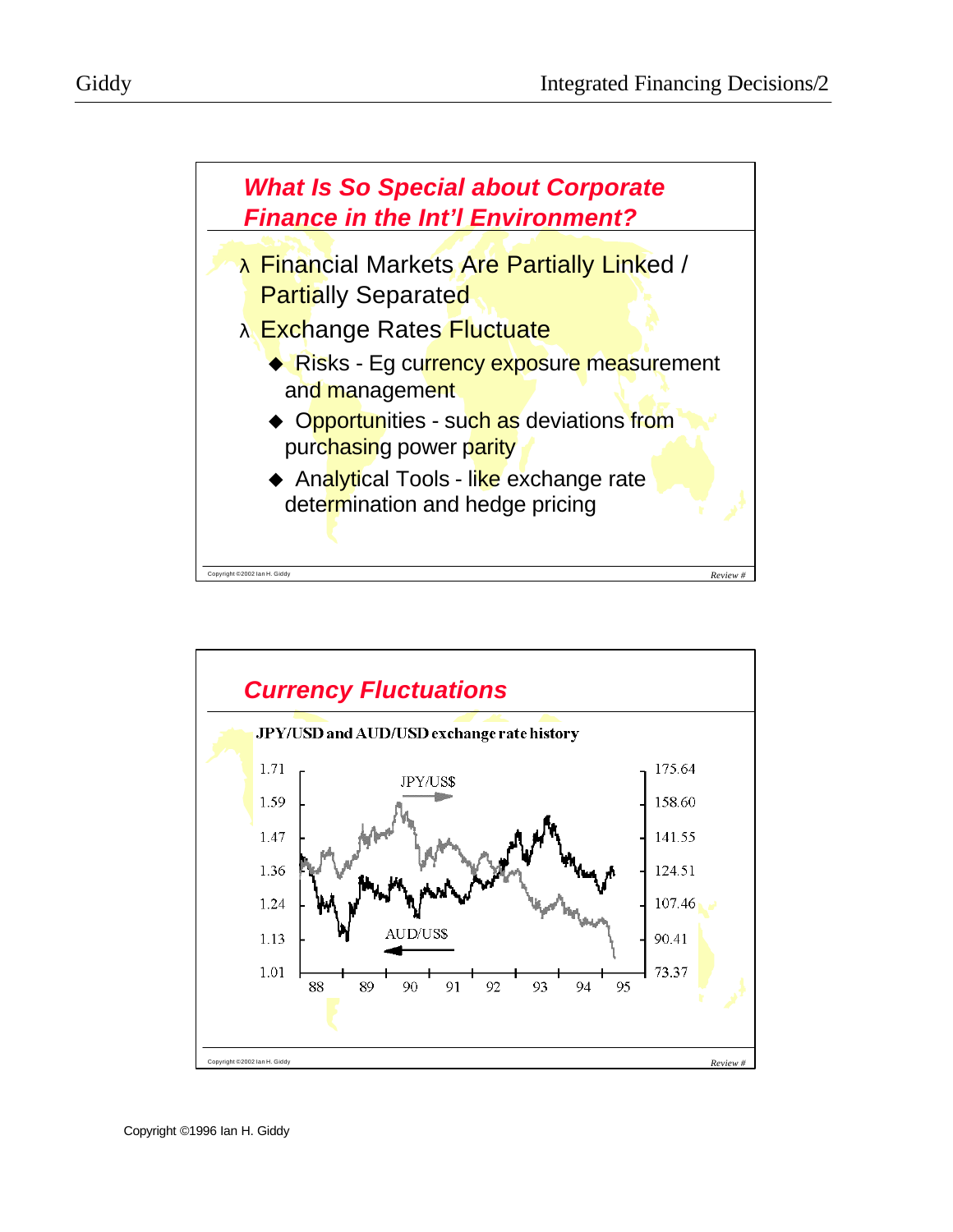

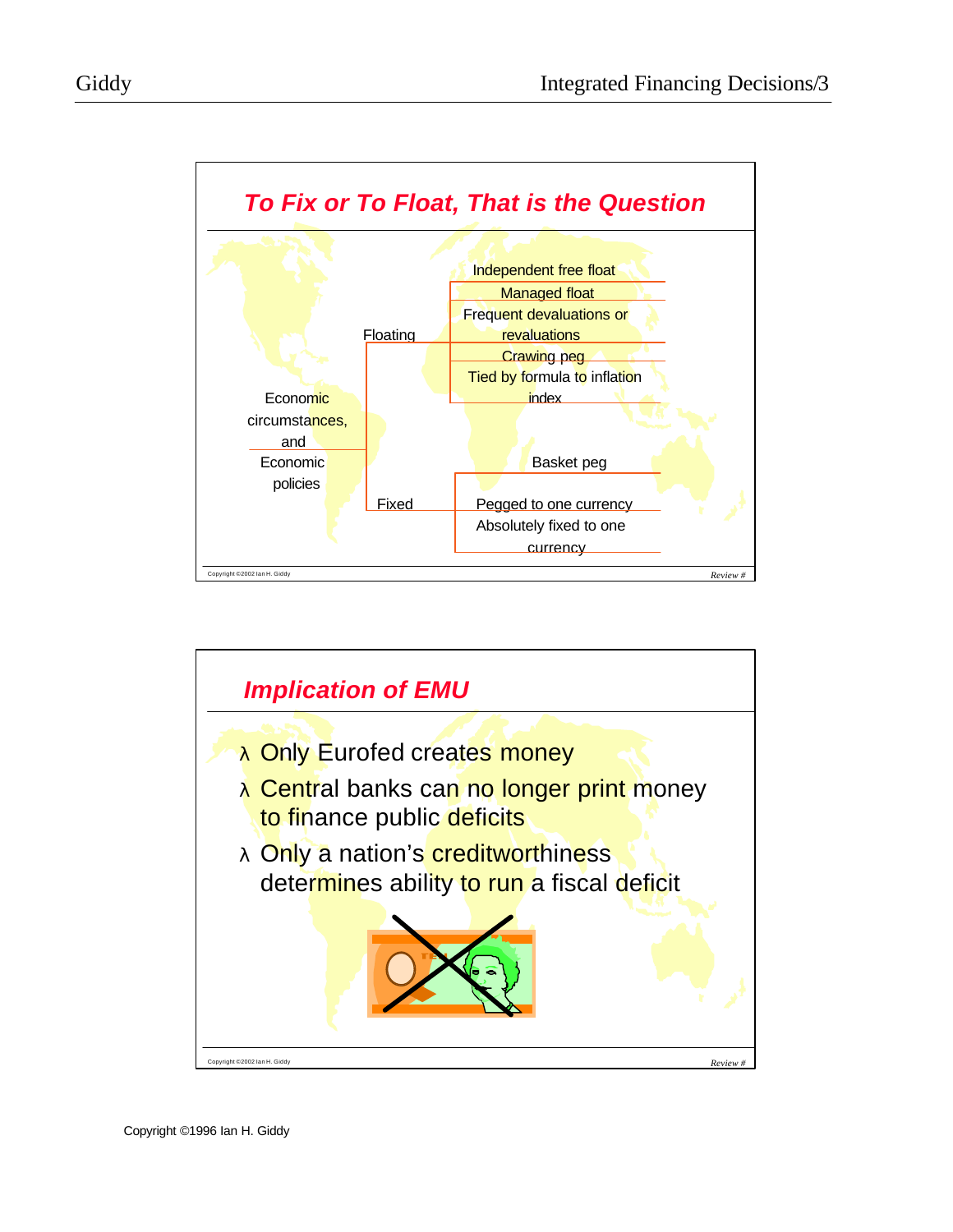



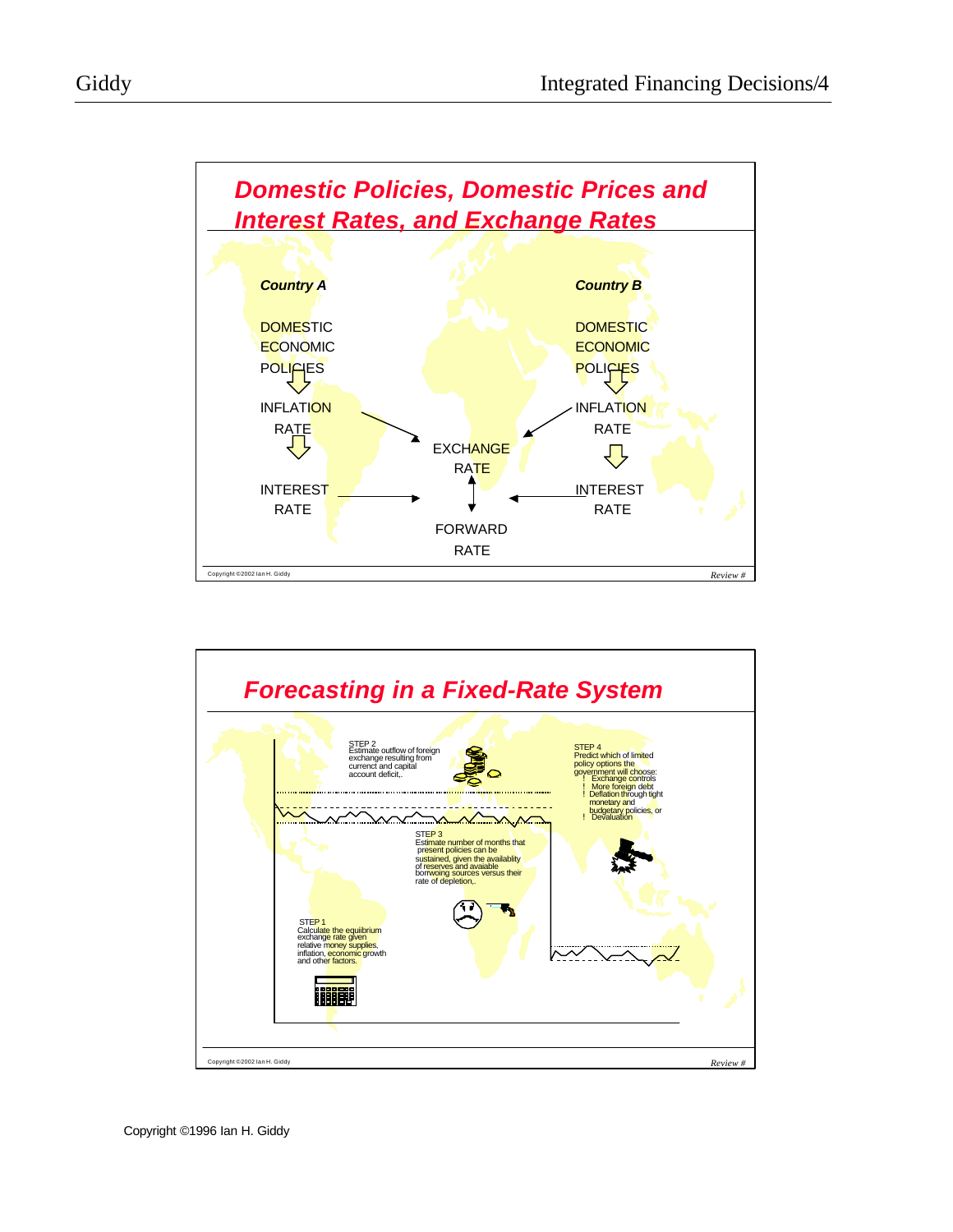

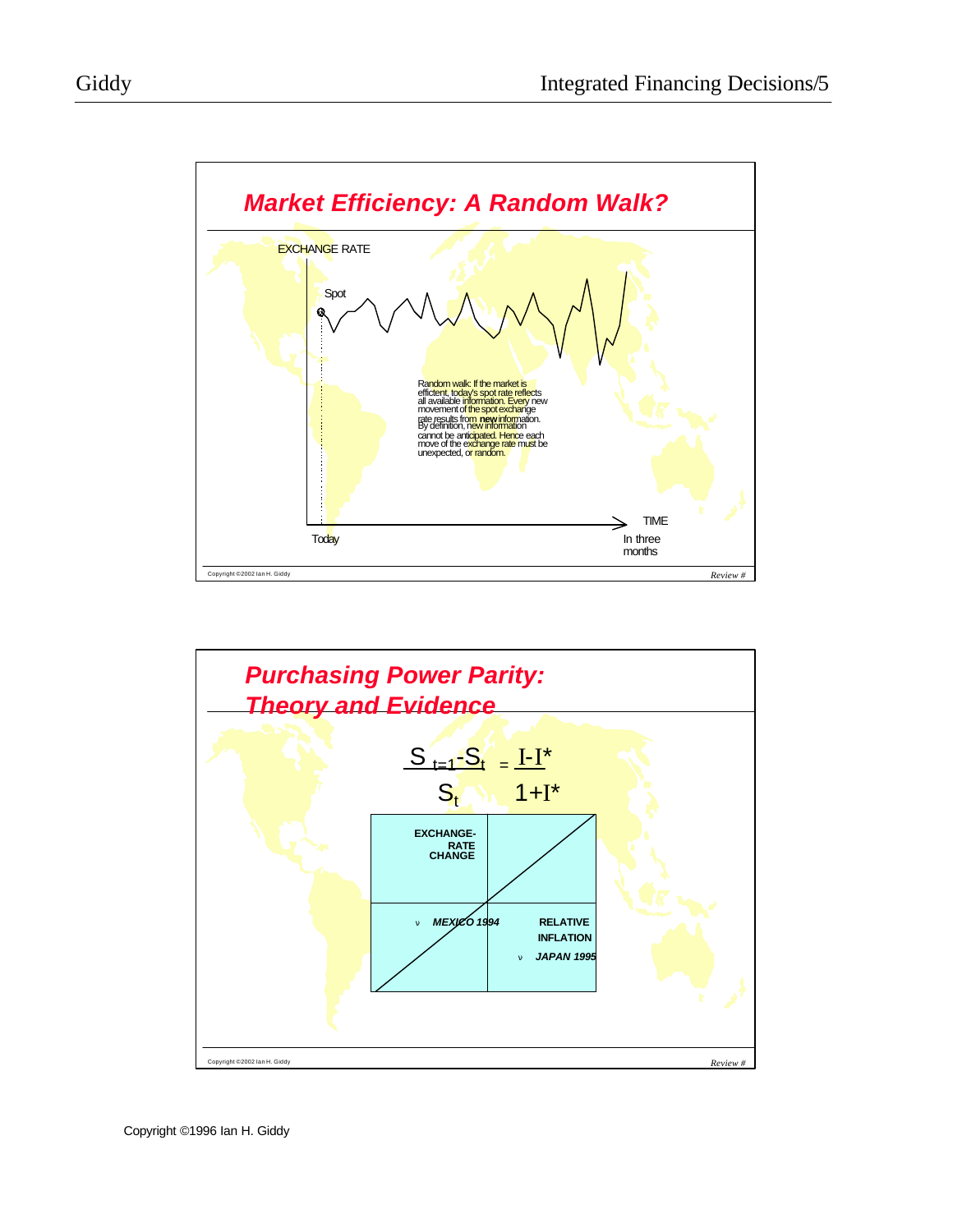

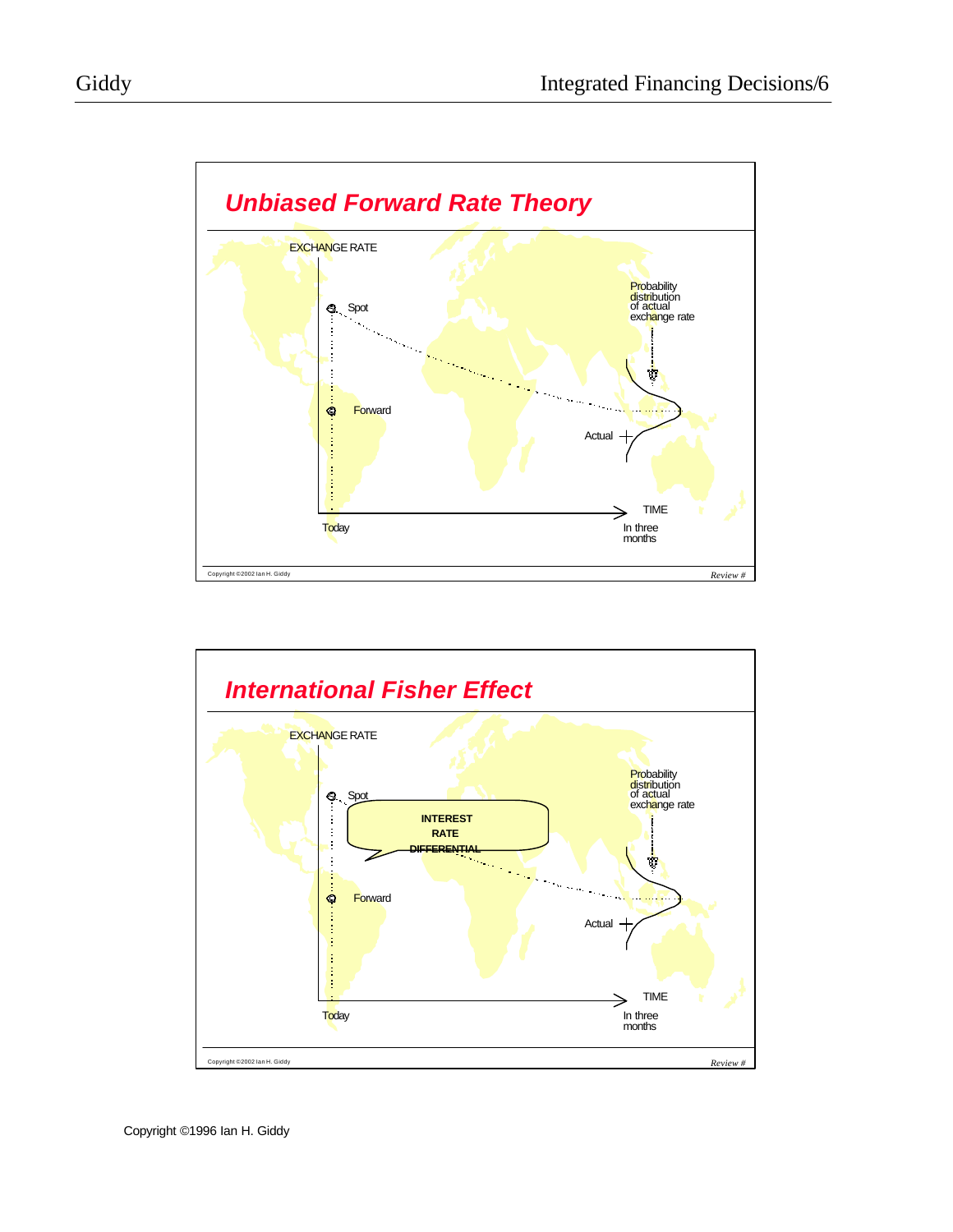

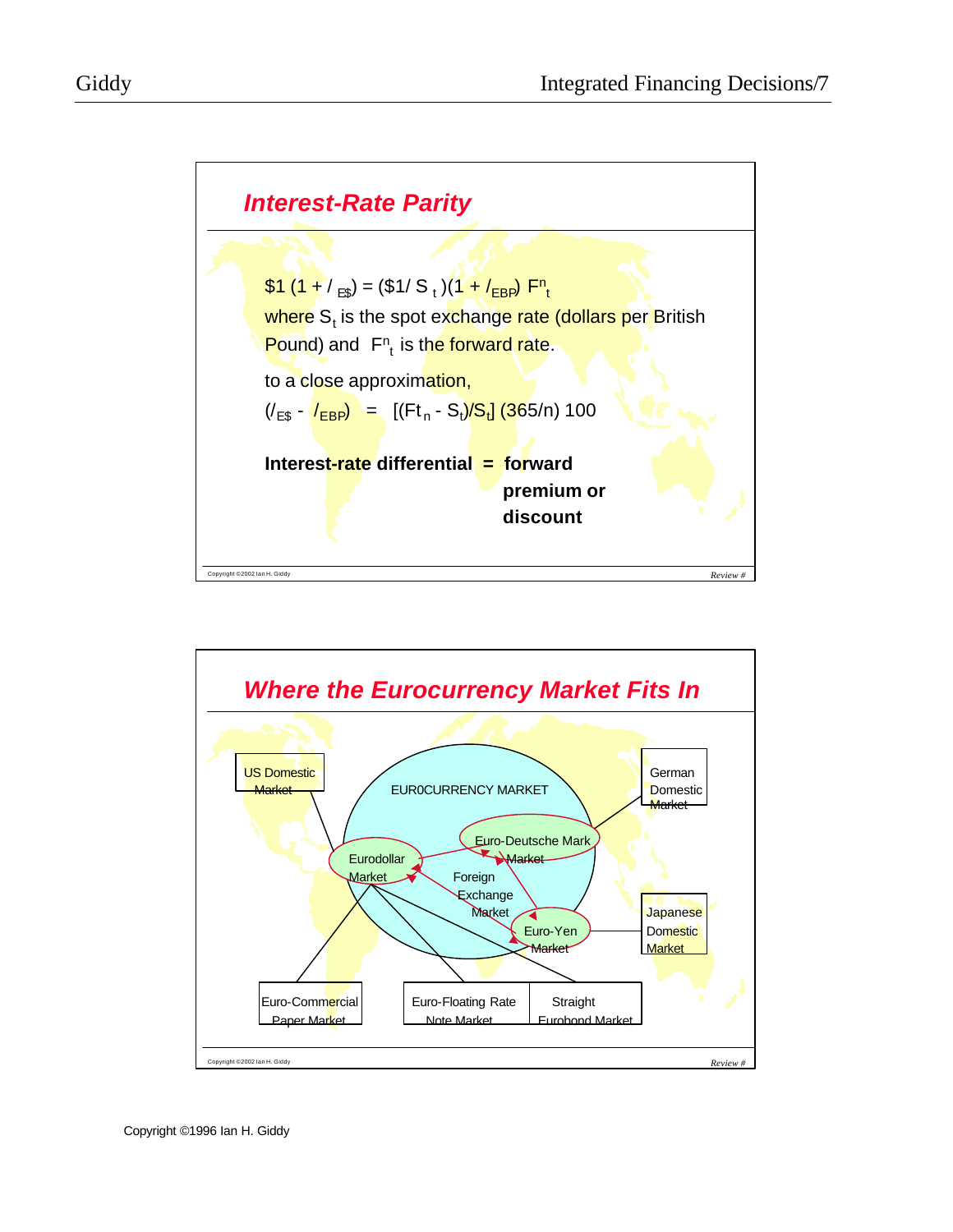

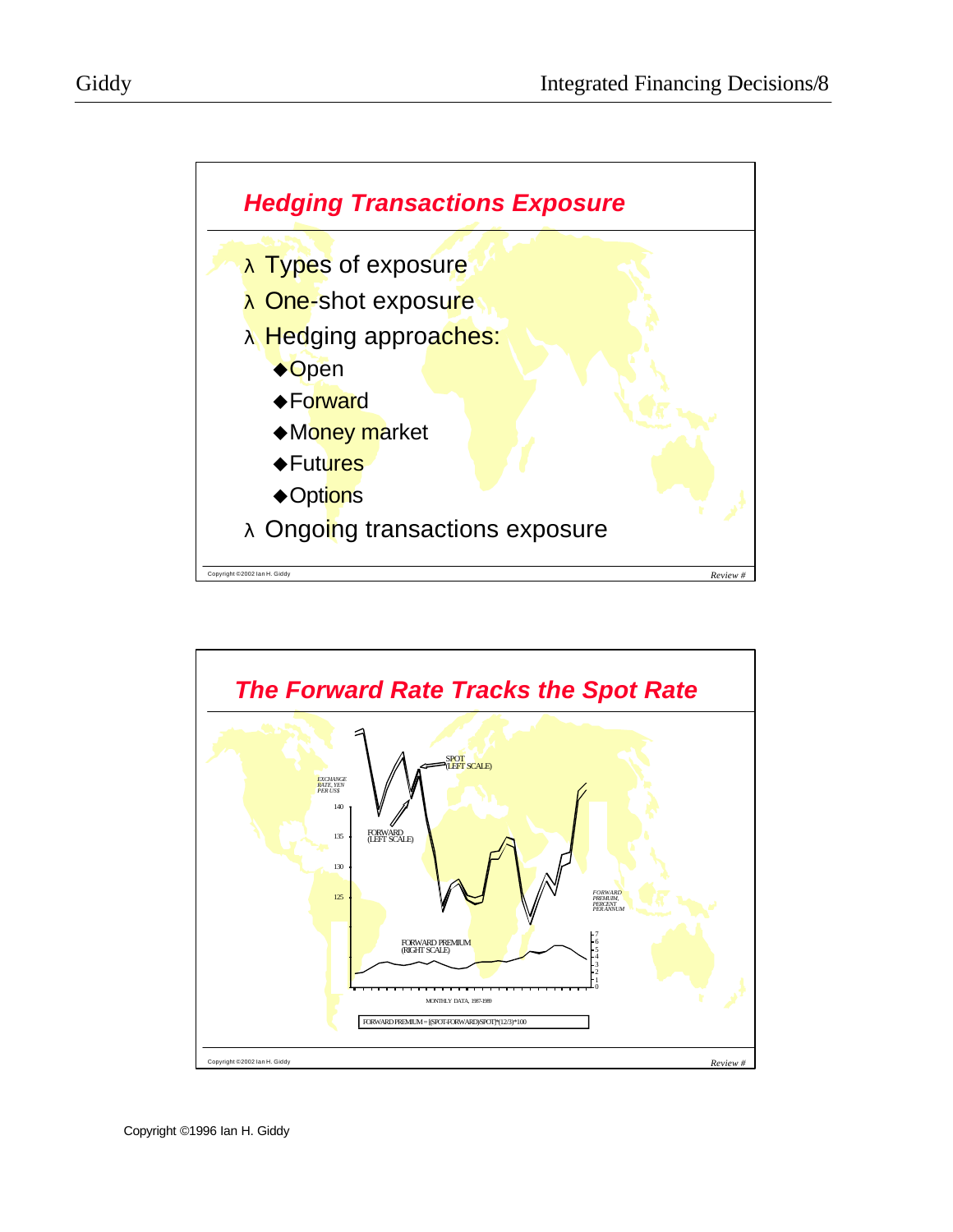



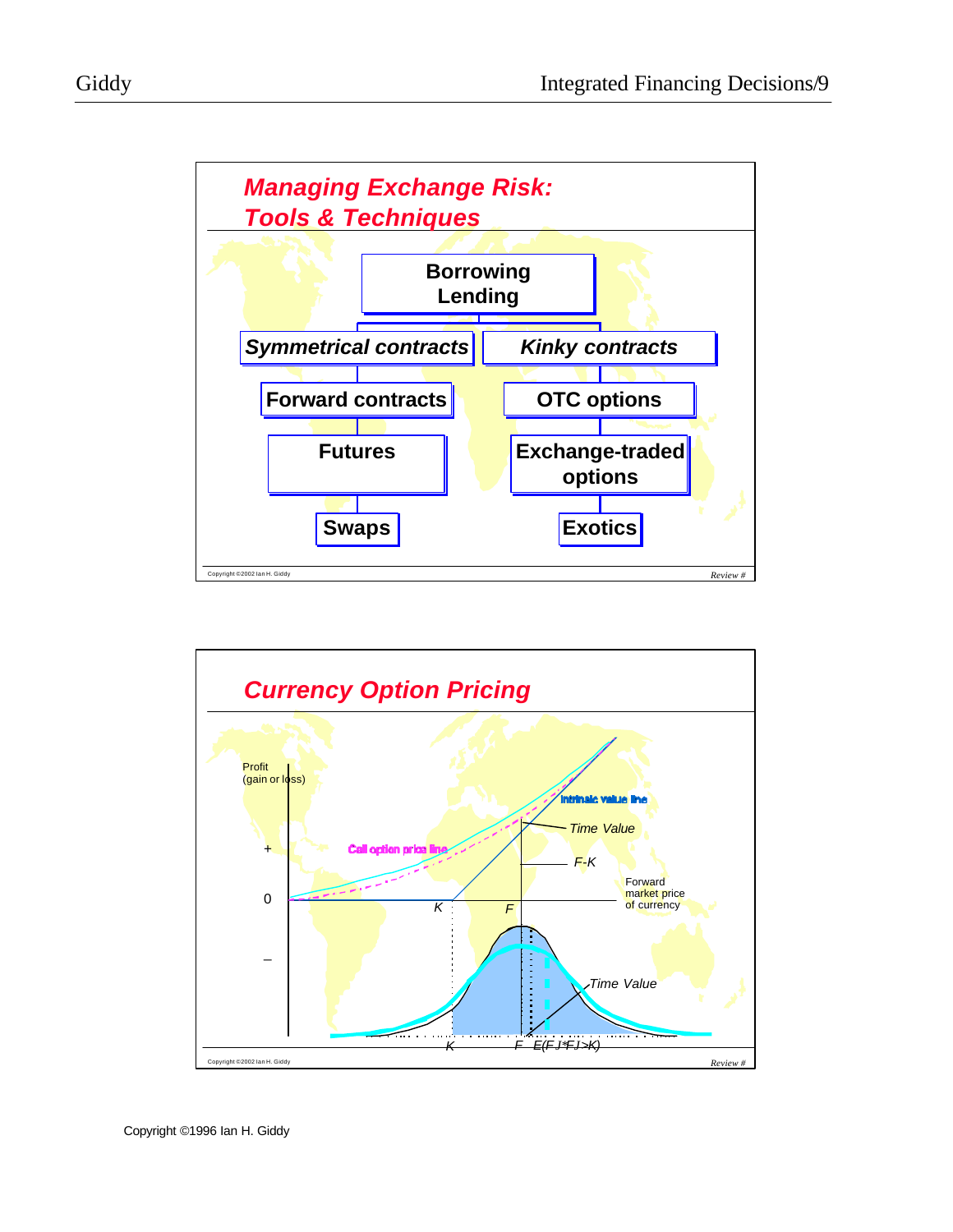

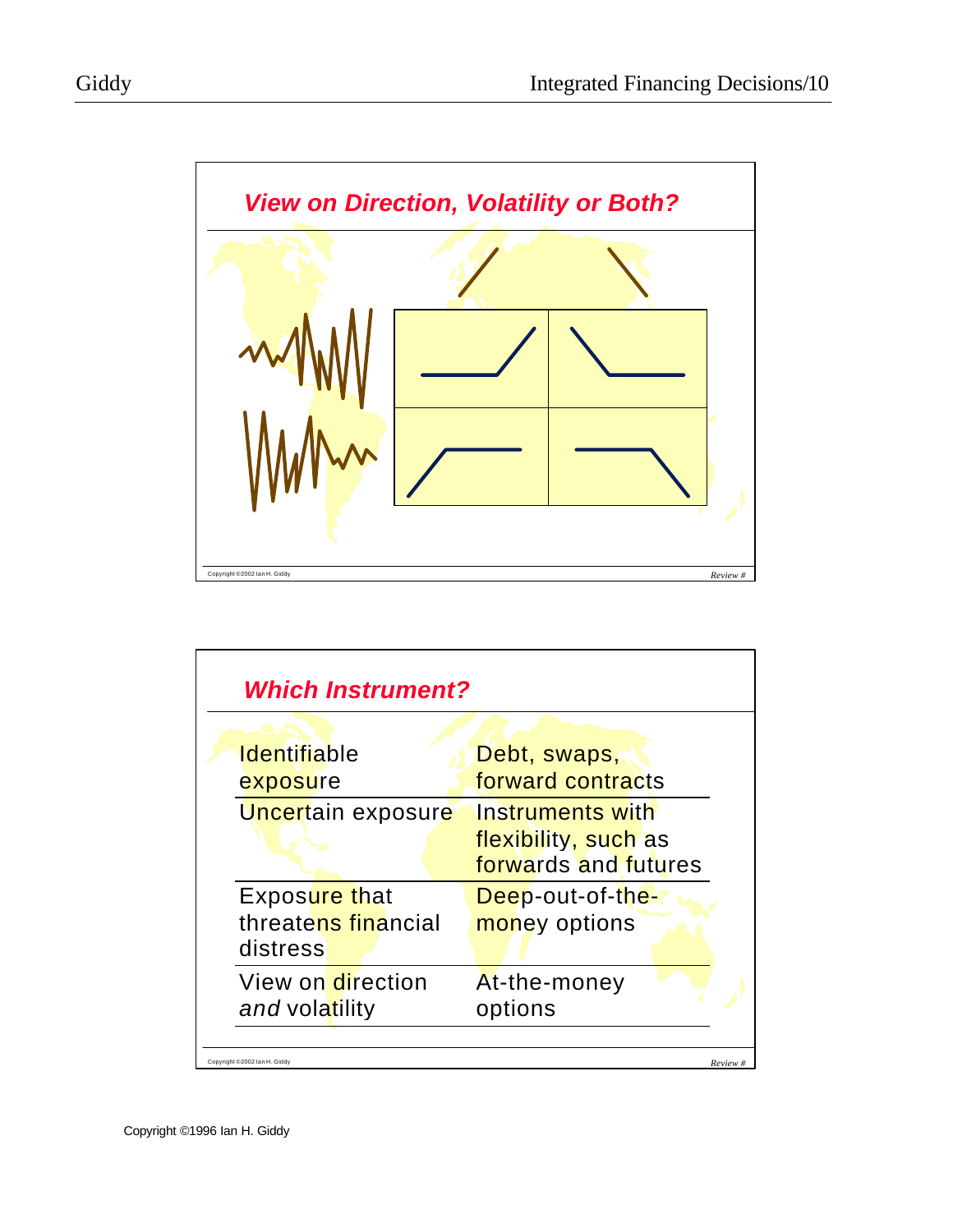

| <b>Identifiable</b> | Debt, swaps,         |  |  |  |
|---------------------|----------------------|--|--|--|
| exposure            | forward contracts    |  |  |  |
| Uncertain exposure  | Instruments with     |  |  |  |
|                     | flexibility, such as |  |  |  |
|                     | forwards and futures |  |  |  |
| Exposure that       | Deep-out-of-the-     |  |  |  |
| threatens financial | money options        |  |  |  |
| distress            |                      |  |  |  |
| View on direction   | At-the-money         |  |  |  |
| and volatility      | options              |  |  |  |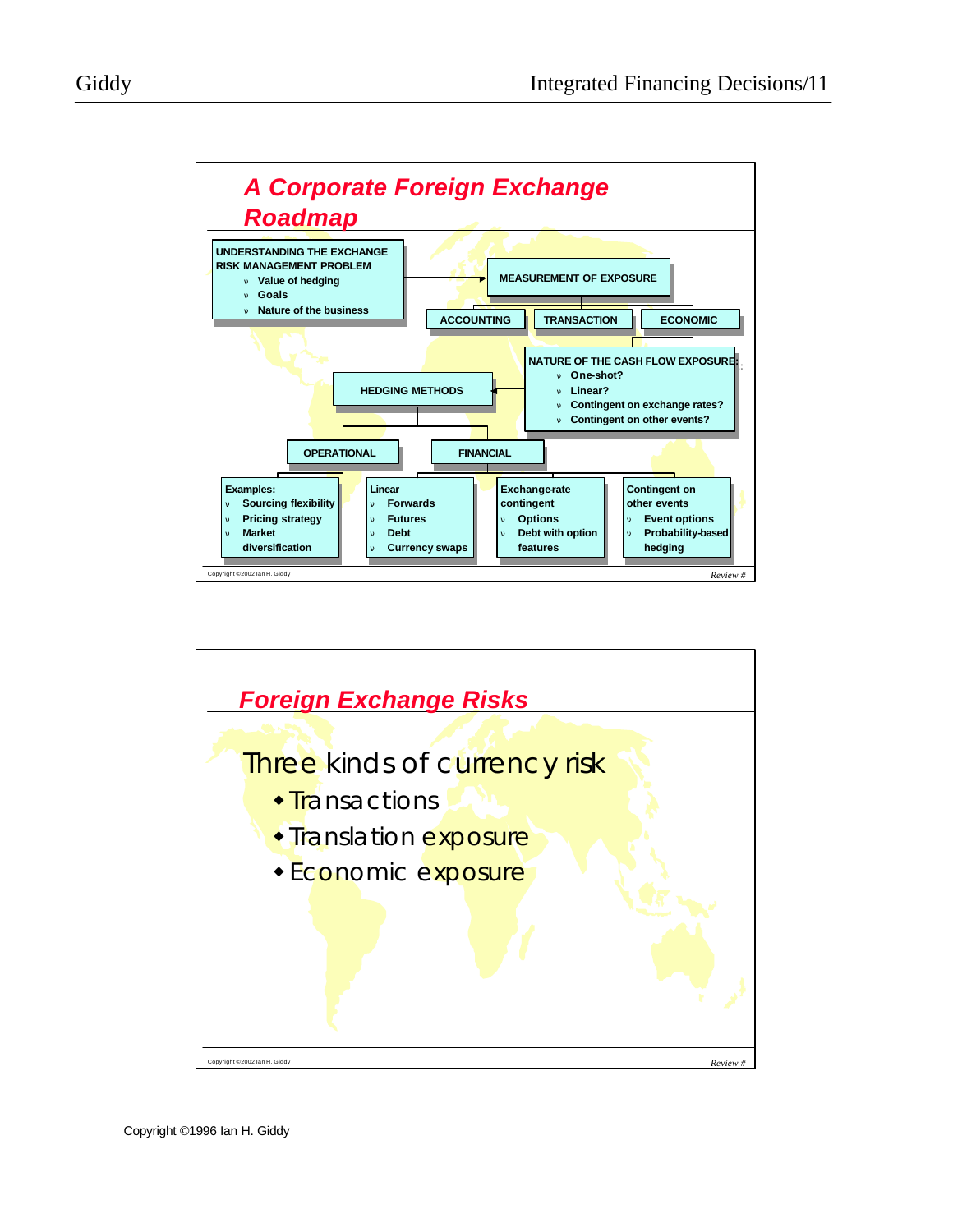

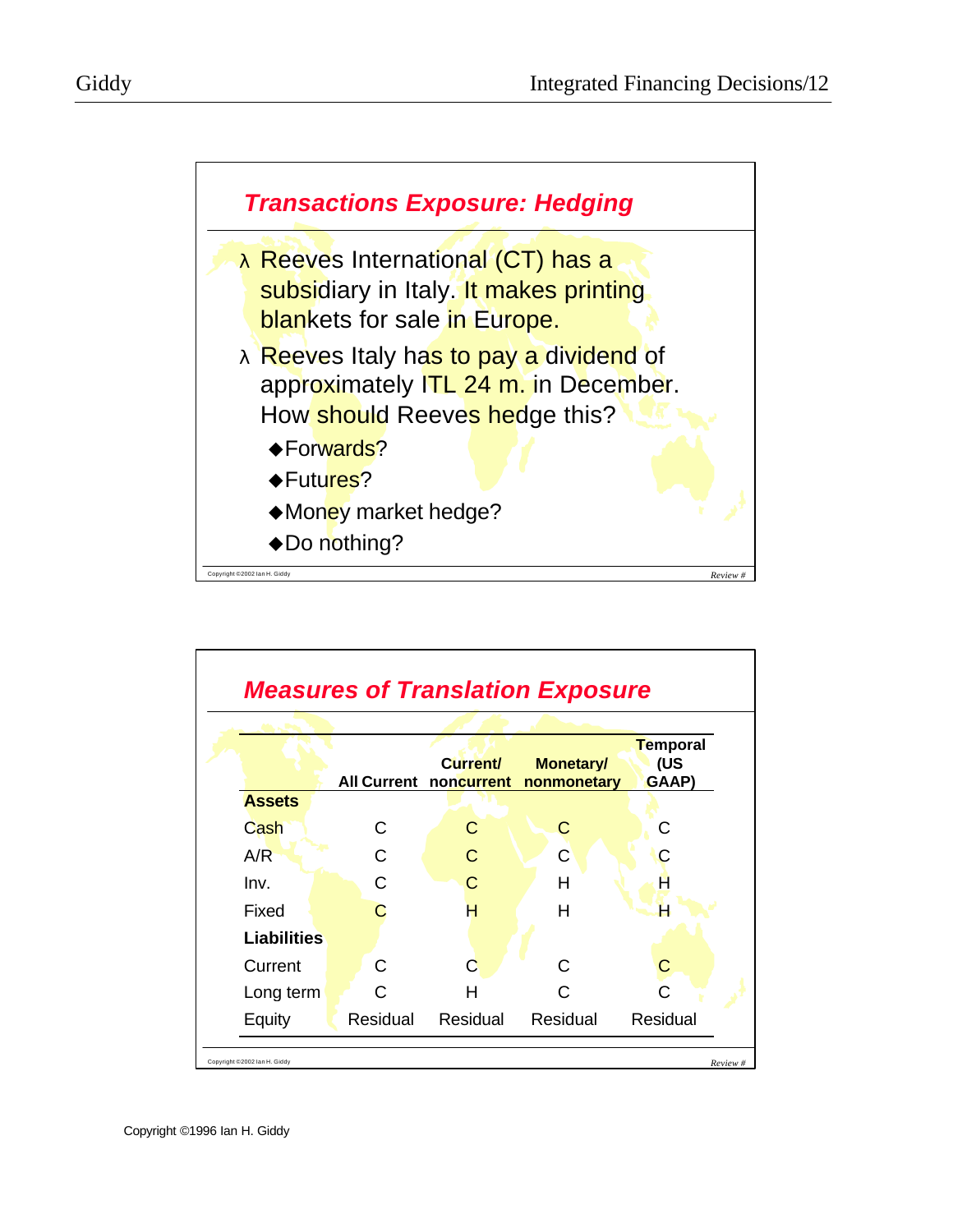



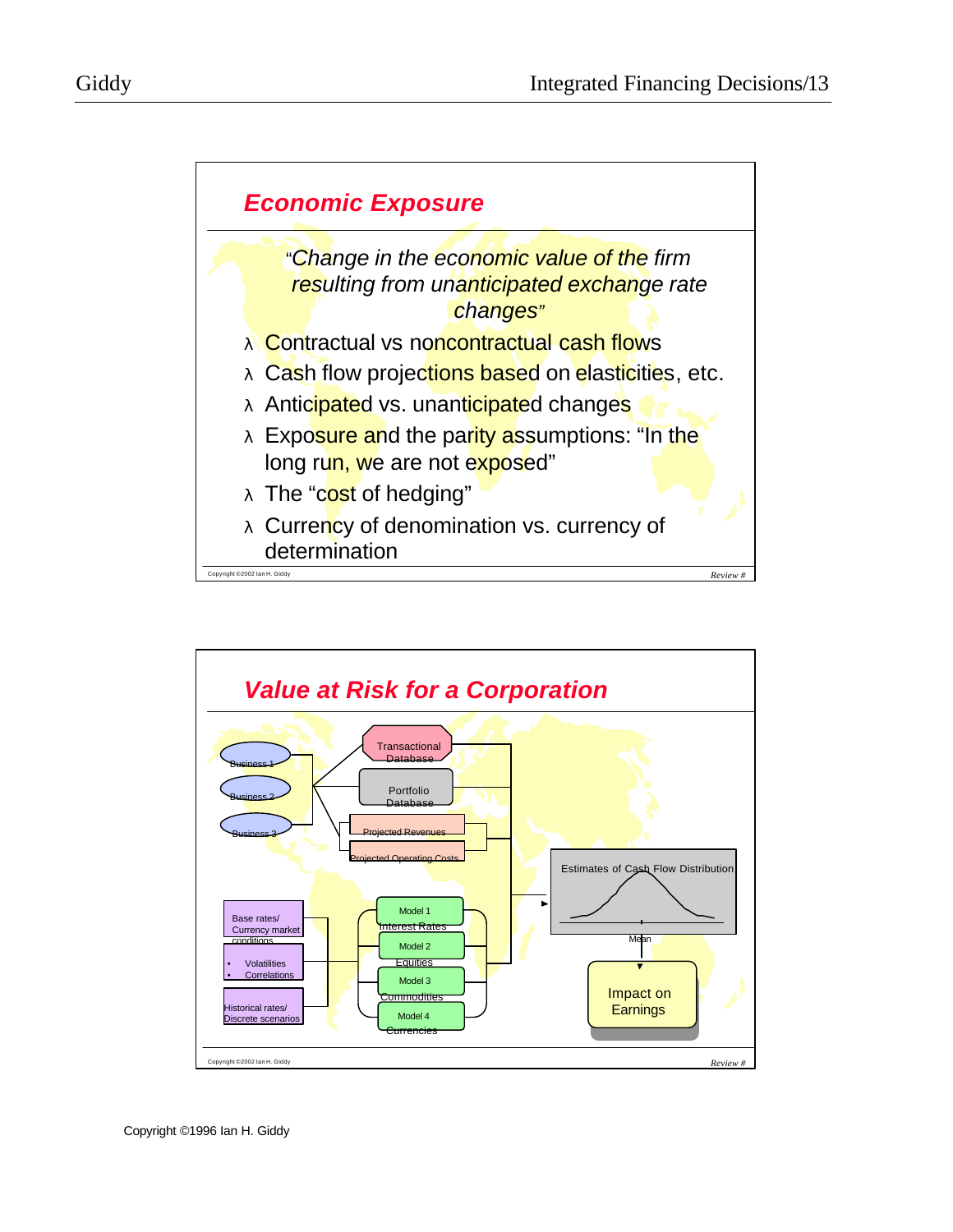



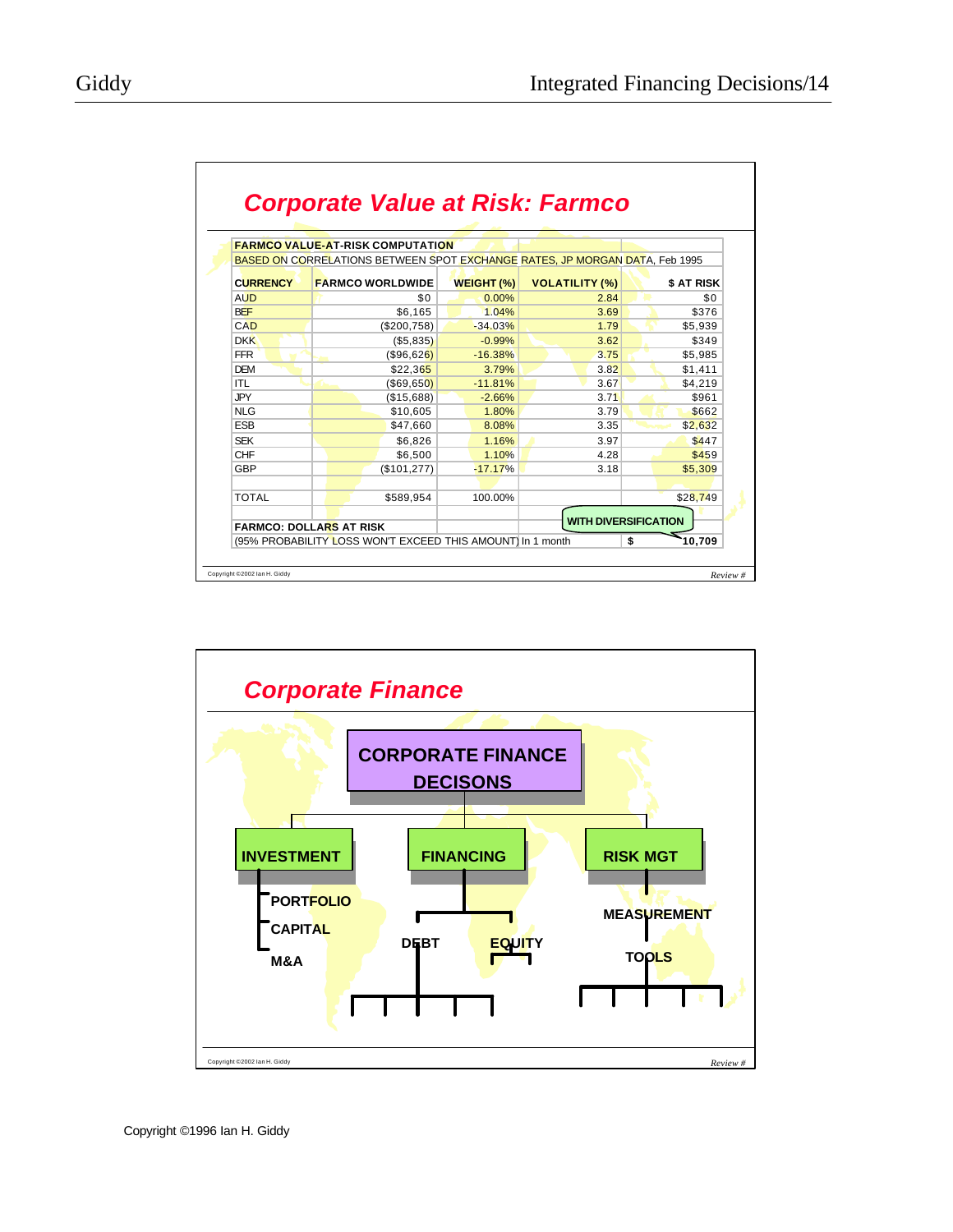|                 | <b>FARMCO VALUE-AT-RISK COMPUTATION</b>                                     |                   |                       |            |
|-----------------|-----------------------------------------------------------------------------|-------------------|-----------------------|------------|
|                 | BASED ON CORRELATIONS BETWEEN SPOT EXCHANGE RATES, JP MORGAN DATA, Feb 1995 |                   |                       |            |
| <b>CURRENCY</b> | <b>FARMCO WORLDWIDE</b>                                                     | <b>WEIGHT (%)</b> | <b>VOLATILITY (%)</b> | \$ AT RISK |
| <b>AUD</b>      | \$0                                                                         | $0.00\%$          | 2.84                  | \$0        |
| <b>BEF</b>      | \$6,165                                                                     | 1.04%             | 3.69                  | \$376      |
| CAD             | (\$200,758)                                                                 | $-34.03%$         | 1.79                  | \$5.939    |
| <b>DKK</b>      | (\$5,835)                                                                   | $-0.99%$          | 3.62                  | \$349      |
| <b>FFR</b>      | (\$96,626)                                                                  | $-16.38%$         | 3.75                  | \$5,985    |
| <b>DEM</b>      | \$22,365                                                                    | 3.79%             | 3.82                  | \$1,411    |
| ITL             | $($ \$69,650)                                                               | $-11.81%$         | 3.67                  | \$4.219    |
| <b>JPY</b>      | (\$15,688)                                                                  | $-2.66%$          | 3.71                  | \$961      |
| <b>NLG</b>      | \$10,605                                                                    | 1.80%             | 3.79                  | \$662      |
| <b>ESB</b>      | \$47,660                                                                    | 8.08%             | 3.35                  | \$2,632    |
| <b>SEK</b>      | \$6,826                                                                     | 1.16%             | 3.97                  | \$447      |
| CHF             | \$6.500                                                                     | 1.10%             | 4.28                  | \$459      |
| <b>GBP</b>      | (\$101, 277)                                                                | $-17.17%$         | 3.18                  | \$5,309    |
|                 |                                                                             |                   |                       |            |
| <b>TOTAL</b>    | \$589.954                                                                   | 100.00%           |                       | \$28,749   |
|                 |                                                                             |                   |                       |            |

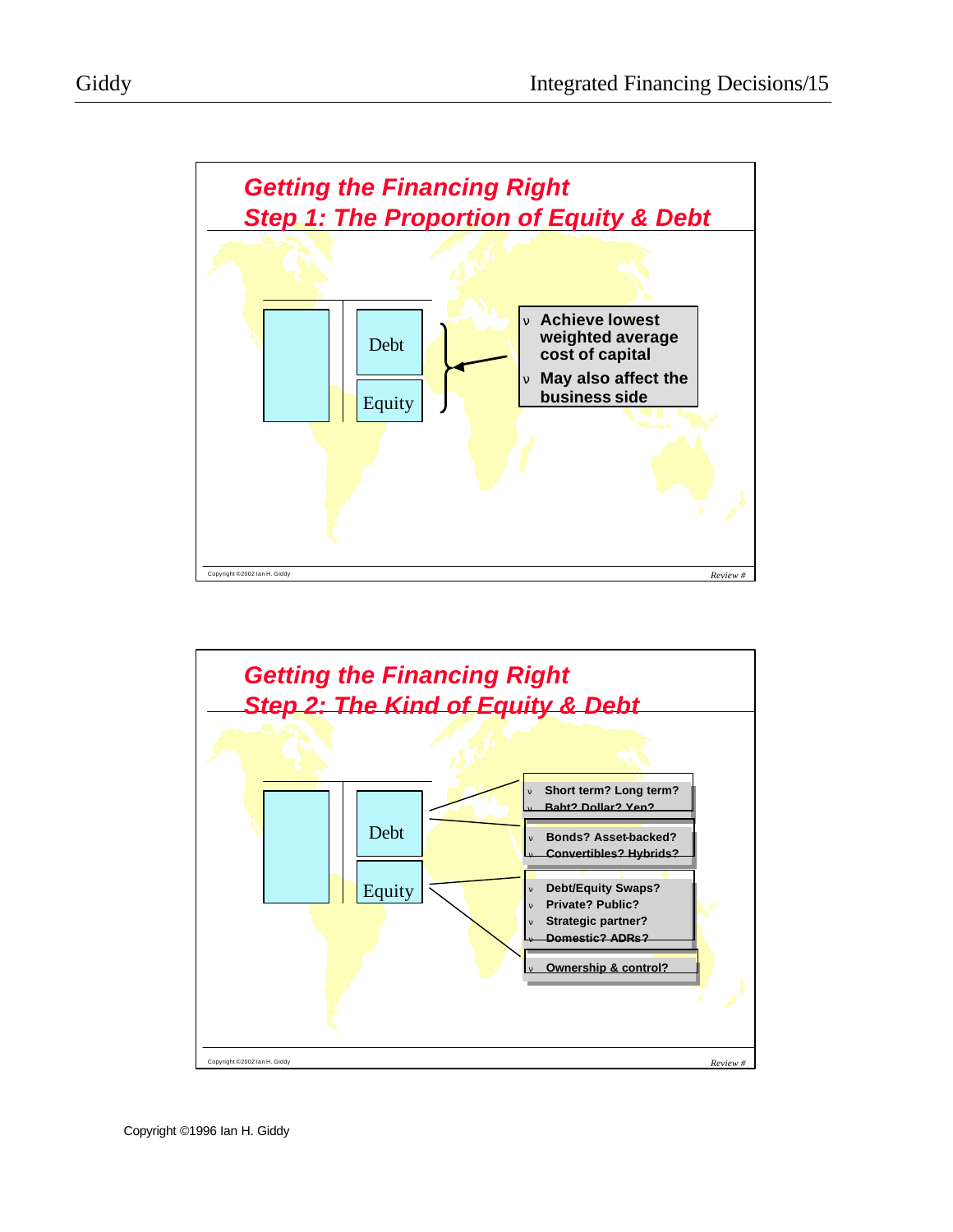



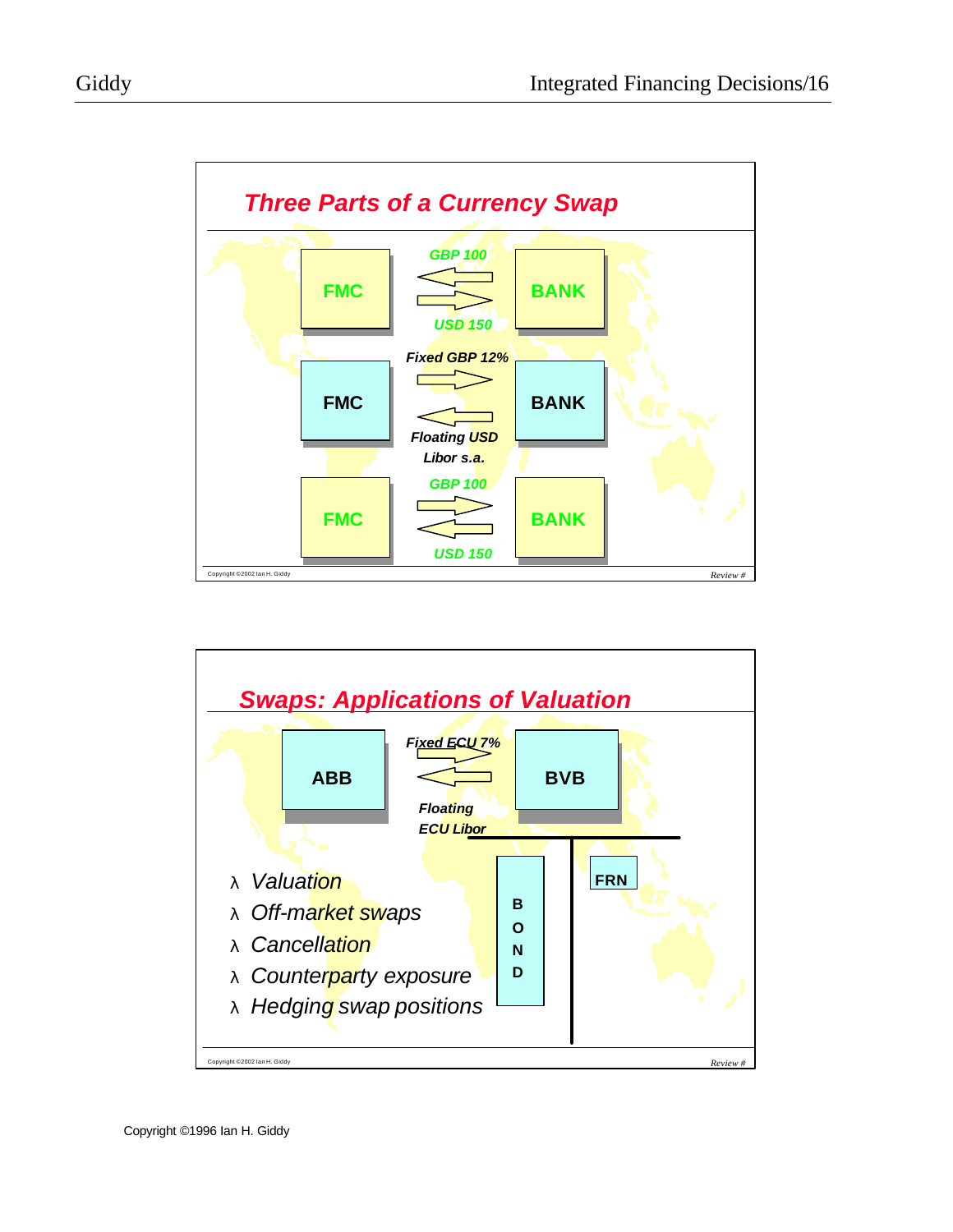

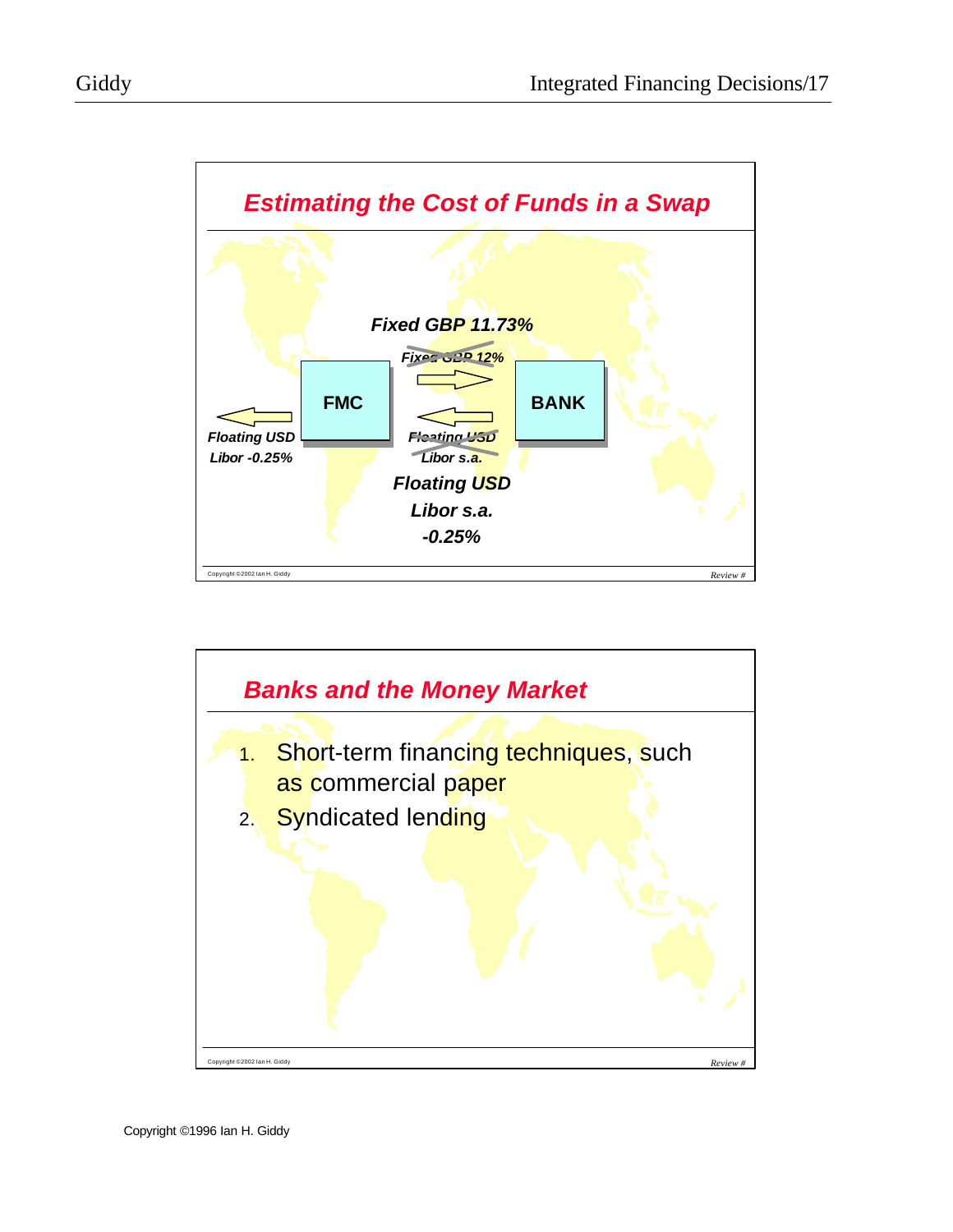

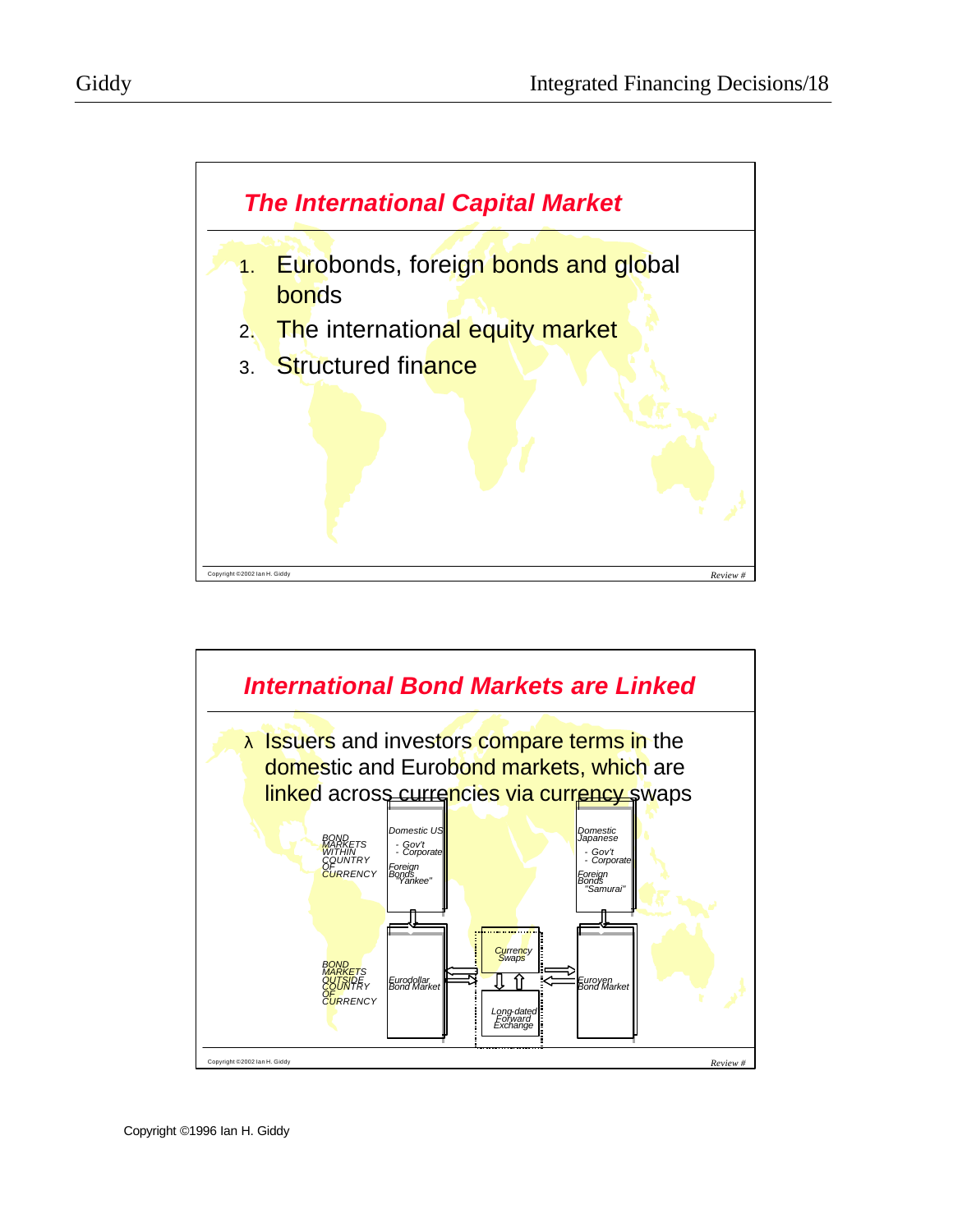

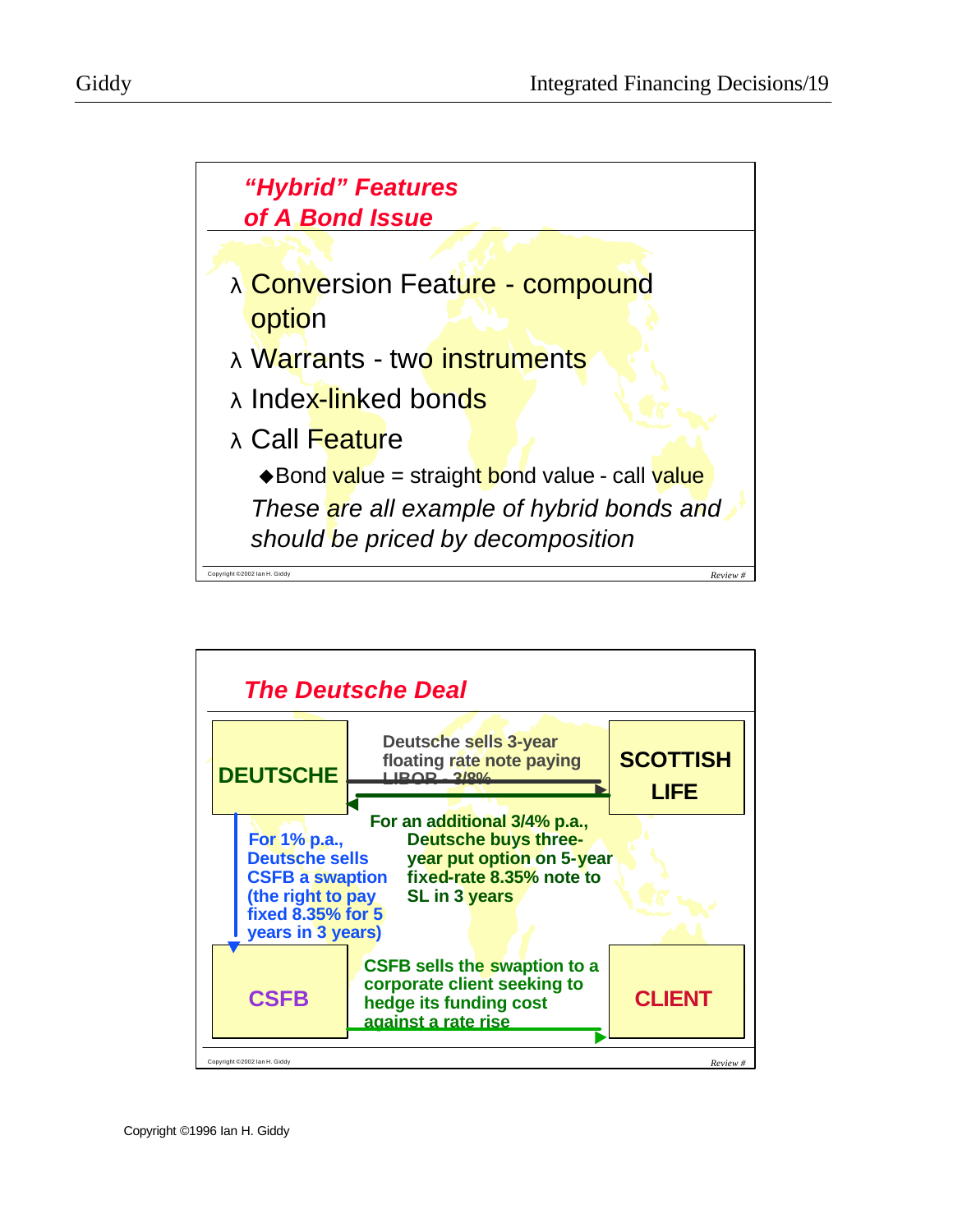



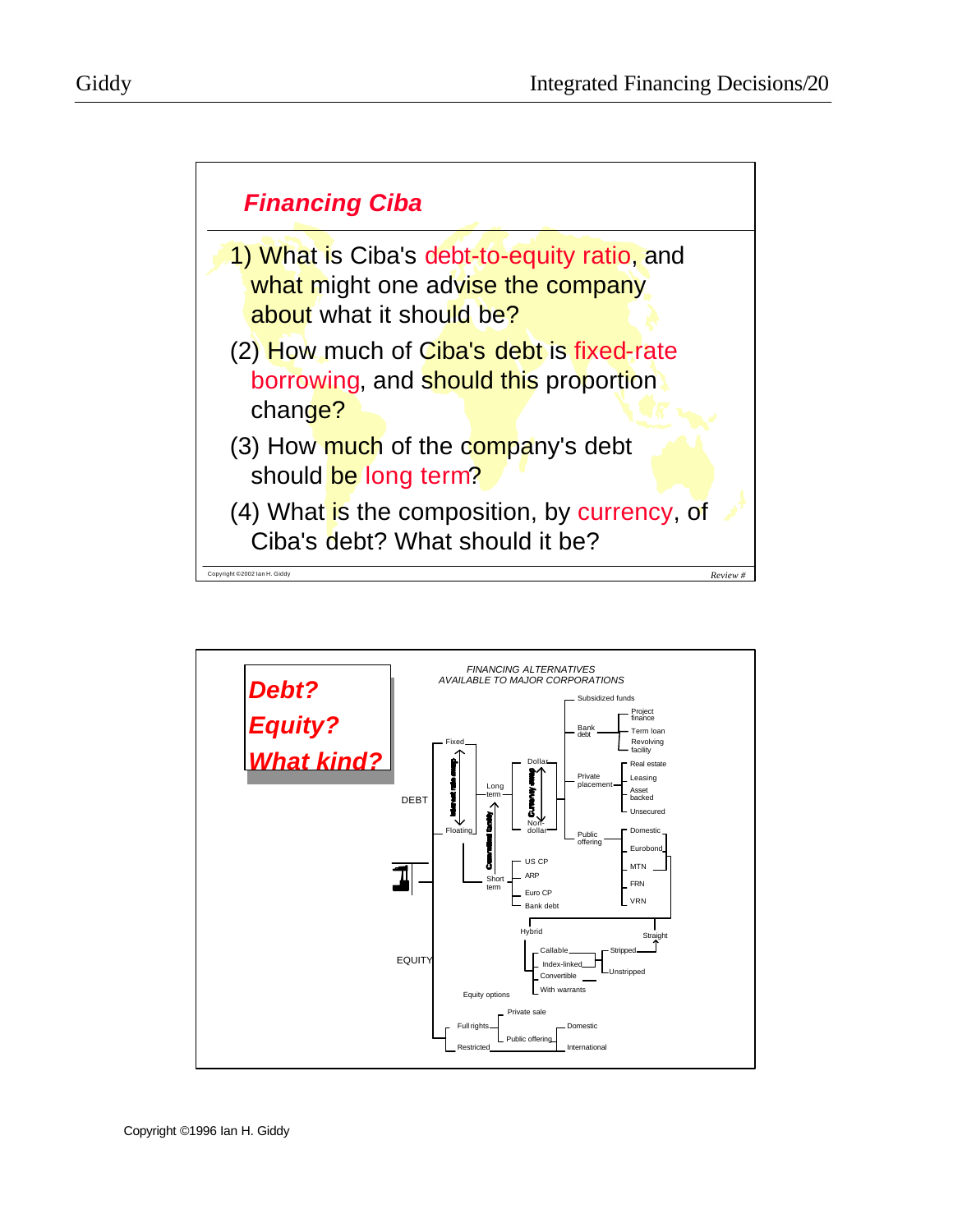